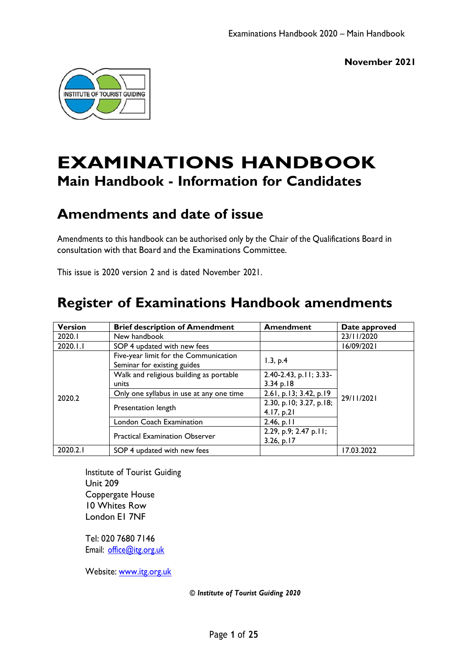

# **EXAMINATIONS HANDBOOK Main Handbook - Information for Candidates**

# **Amendments and date of issue**

Amendments to this handbook can be authorised only by the Chair of the Qualifications Board in consultation with that Board and the Examinations Committee.

This issue is 2020 version 2 and is dated November 2021.

# **Register of Examinations Handbook amendments**

| <b>Version</b> | <b>Brief description of Amendment</b>                                | <b>Amendment</b>                      | Date approved |
|----------------|----------------------------------------------------------------------|---------------------------------------|---------------|
| 2020.1         | New handbook                                                         |                                       | 23/11/2020    |
| 2020.I.I       | SOP 4 updated with new fees                                          |                                       | 16/09/2021    |
| 2020.2         | Five-year limit for the Communication<br>Seminar for existing guides | 1.3, p.4                              | 29/11/2021    |
|                | Walk and religious building as portable                              | 2.40-2.43, p.11; 3.33-                |               |
|                | units                                                                | $3.34$ p.18                           |               |
|                | Only one syllabus in use at any one time                             | 2.61, p.13; 3.42, p.19                |               |
|                | Presentation length                                                  | 2.30, p.10; 3.27, p.18;<br>4.17, p.21 |               |
|                | London Coach Examination                                             | 2.46, p.11                            |               |
|                | <b>Practical Examination Observer</b>                                | 2.29, p.9; 2.47 p.11;<br>3.26, p.17   |               |
| 2020.2.1       | SOP 4 updated with new fees                                          |                                       | 17.03.2022    |

Institute of Tourist Guiding Unit 209 Coppergate House 10 Whites Row London E1 7NF

Tel: 020 7680 7146 Email: [office@itg.org.uk](mailto:office@itg.org.uk)

Website: [www.itg.org.uk](http://www.itg.org.uk/)

*© Institute of Tourist Guiding 2020*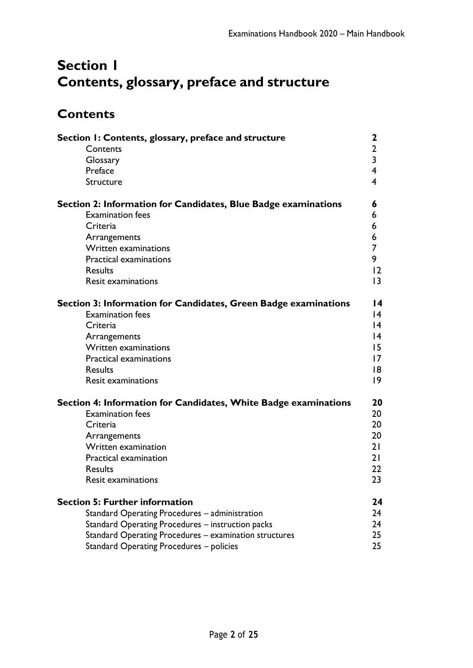# <span id="page-1-0"></span>**Section 1 Contents, glossary, preface and structure**

# <span id="page-1-1"></span>**Contents**

| Section I: Contents, glossary, preface and structure            |                         |
|-----------------------------------------------------------------|-------------------------|
| Contents                                                        | 2                       |
| Glossary                                                        | $\overline{\mathbf{3}}$ |
| Preface                                                         | 4                       |
| Structure                                                       | 4                       |
| Section 2: Information for Candidates, Blue Badge examinations  | 6                       |
| <b>Examination fees</b>                                         | 6                       |
| Criteria                                                        | 6                       |
| Arrangements                                                    | 6                       |
| <b>Written examinations</b>                                     | 7                       |
| <b>Practical examinations</b>                                   | 9                       |
| <b>Results</b>                                                  | 12                      |
| <b>Resit examinations</b>                                       | 3                       |
| Section 3: Information for Candidates, Green Badge examinations | 14                      |
| <b>Examination fees</b>                                         | 14                      |
| Criteria                                                        | 14                      |
| Arrangements                                                    | 14                      |
| <b>Written examinations</b>                                     | 15                      |
| <b>Practical examinations</b>                                   | 17                      |
| <b>Results</b>                                                  | 18                      |
| <b>Resit examinations</b>                                       | 9                       |
| Section 4: Information for Candidates, White Badge examinations | 20                      |
| <b>Examination fees</b>                                         | 20                      |
| Criteria                                                        | 20                      |
| Arrangements                                                    | 20                      |
| Written examination                                             | 21                      |
| Practical examination                                           | 21                      |
| <b>Results</b>                                                  | 22                      |
| <b>Resit examinations</b>                                       | 23                      |
| <b>Section 5: Further information</b>                           | 24                      |
| Standard Operating Procedures - administration                  | 24                      |
| Standard Operating Procedures - instruction packs               | 24                      |
| Standard Operating Procedures - examination structures          | 25                      |
| Standard Operating Procedures - policies                        | 25                      |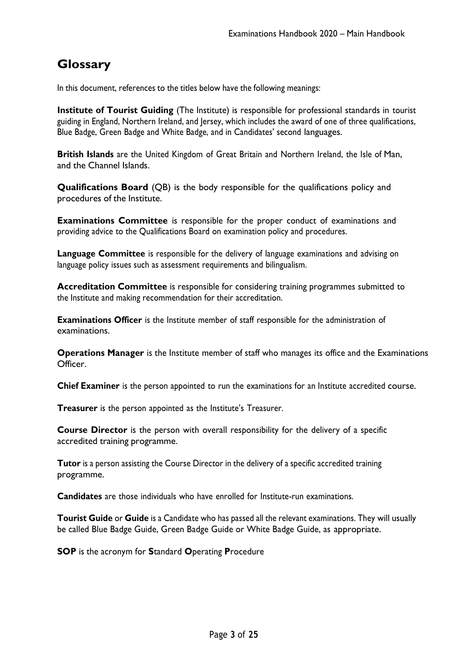## <span id="page-2-0"></span>**Glossary**

In this document, references to the titles below have the following meanings:

**Institute of Tourist Guiding** (The Institute) is responsible for professional standards in tourist guiding in England, Northern Ireland, and Jersey, which includes the award of one of three qualifications, Blue Badge, Green Badge and White Badge, and in Candidates' second languages.

**British Islands** are the United Kingdom of Great Britain and Northern Ireland, the Isle of Man, and the Channel Islands.

**Qualifications Board** (QB) is the body responsible for the qualifications policy and procedures of the Institute.

**Examinations Committee** is responsible for the proper conduct of examinations and providing advice to the Qualifications Board on examination policy and procedures.

**Language Committee** is responsible for the delivery of language examinations and advising on language policy issues such as assessment requirements and bilingualism.

**Accreditation Committee** is responsible for considering training programmes submitted to the Institute and making recommendation for their accreditation.

**Examinations Officer** is the Institute member of staff responsible for the administration of examinations.

**Operations Manager** is the Institute member of staff who manages its office and the Examinations Officer.

**Chief Examiner** is the person appointed to run the examinations for an Institute accredited course.

**Treasurer** is the person appointed as the Institute's Treasurer.

**Course Director** is the person with overall responsibility for the delivery of a specific accredited training programme.

**Tutor** is a person assisting the Course Director in the delivery of a specific accredited training programme.

**Candidates** are those individuals who have enrolled for Institute-run examinations.

**Tourist Guide** or **Guide** is a Candidate who has passed all the relevant examinations. They will usually be called Blue Badge Guide, Green Badge Guide or White Badge Guide, as appropriate.

**SOP** is the acronym for **S**tandard **O**perating **P**rocedure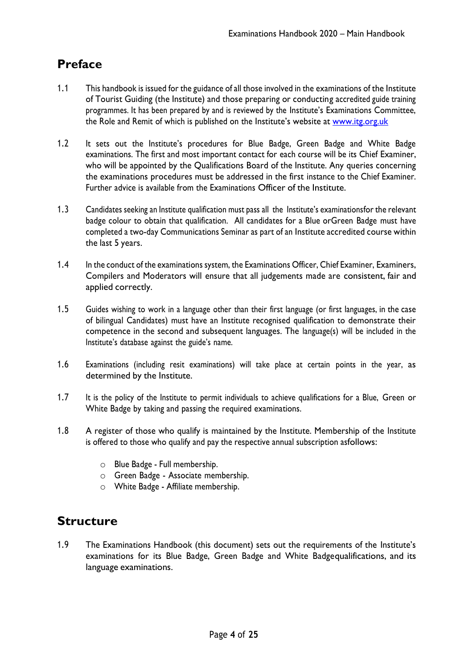## <span id="page-3-0"></span>**Preface**

- 1.1 This handbook is issued for the guidance of all those involved in the examinations of the Institute of Tourist Guiding (the Institute) and those preparing or conducting accredited guide training programmes. It has been prepared by and is reviewed by the Institute's Examinations Committee, the Role and Remit of which is published on the Institute's website at [www.itg.org.uk](http://www.itg.org.uk/)
- 1.2 It sets out the Institute's procedures for Blue Badge, Green Badge and White Badge examinations. The first and most important contact for each course will be its Chief Examiner, who will be appointed by the Qualifications Board of the Institute. Any queries concerning the examinations procedures must be addressed in the first instance to the Chief Examiner. Further advice is available from the Examinations Officer of the Institute.
- 1.3 Candidates seeking an Institute qualification must pass all the Institute's examinationsfor the relevant badge colour to obtain that qualification. All candidates for a Blue orGreen Badge must have completed a two-day Communications Seminar as part of an Institute accredited course within the last 5 years.
- 1.4 In the conduct of the examinations system, the Examinations Officer, Chief Examiner, Examiners, Compilers and Moderators will ensure that all judgements made are consistent, fair and applied correctly.
- 1.5 Guides wishing to work in a language other than their first language (or first languages, in the case of bilingual Candidates) must have an Institute recognised qualification to demonstrate their competence in the second and subsequent languages. The language(s) will be included in the Institute's database against the guide's name.
- 1.6 Examinations (including resit examinations) will take place at certain points in the year, as determined by the Institute.
- 1.7 It is the policy of the Institute to permit individuals to achieve qualifications for a Blue, Green or White Badge by taking and passing the required examinations.
- 1.8 A register of those who qualify is maintained by the Institute. Membership of the Institute is offered to those who qualify and pay the respective annual subscription asfollows:
	- o Blue Badge Full membership.
	- o Green Badge Associate membership.
	- o White Badge Affiliate membership.

### <span id="page-3-1"></span>**Structure**

1.9 The Examinations Handbook (this document) sets out the requirements of the Institute's examinations for its Blue Badge, Green Badge and White Badgequalifications, and its language examinations.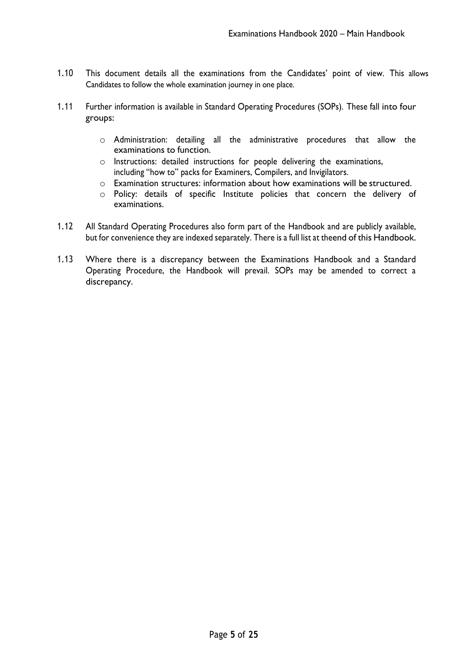- 1.10 This document details all the examinations from the Candidates' point of view. This allows Candidates to follow the whole examination journey in one place.
- 1.11 Further information is available in Standard Operating Procedures (SOPs). These fall into four groups:
	- o Administration: detailing all the administrative procedures that allow the examinations to function.
	- o Instructions: detailed instructions for people delivering the examinations, including "how to" packs for Examiners, Compilers, and Invigilators.
	- o Examination structures: information about how examinations will be structured.
	- o Policy: details of specific Institute policies that concern the delivery of examinations.
- 1.12 All Standard Operating Procedures also form part of the Handbook and are publicly available, but for convenience they are indexed separately. There is a full list at theend of this Handbook.
- 1.13 Where there is a discrepancy between the Examinations Handbook and a Standard Operating Procedure, the Handbook will prevail. SOPs may be amended to correct a discrepancy.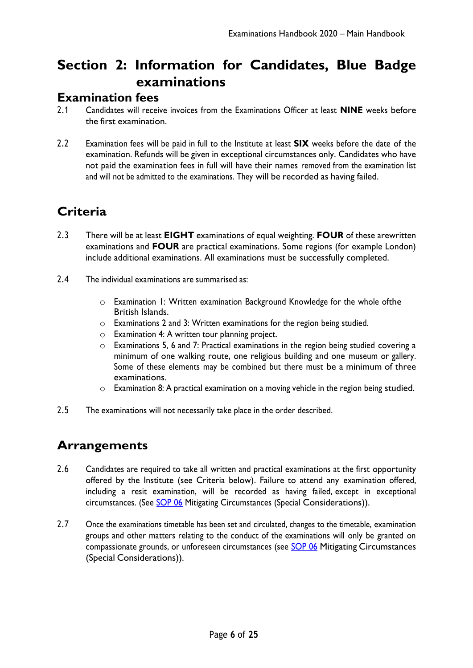# <span id="page-5-0"></span>**Section 2: Information for Candidates, Blue Badge examinations**

#### <span id="page-5-1"></span>**Examination fees**

- 2.1 Candidates will receive invoices from the Examinations Officer at least **NINE** weeks before the first examination.
- 2.2 Examination fees will be paid in full to the Institute at least **SIX** weeks before the date of the examination. Refunds will be given in exceptional circumstances only. Candidates who have not paid the examination fees in full will have their names removed from the examination list and will not be admitted to the examinations. They will be recorded as having failed.

# <span id="page-5-2"></span>**Criteria**

- 2.3 There will be at least **EIGHT** examinations of equal weighting. **FOUR** of these arewritten examinations and **FOUR** are practical examinations. Some regions (for example London) include additional examinations. All examinations must be successfully completed.
- 2.4 The individual examinations are summarised as:
	- o Examination 1: Written examination Background Knowledge for the whole ofthe British Islands.
	- o Examinations 2 and 3: Written examinations for the region being studied.
	- o Examination 4: A written tour planning project.
	- o Examinations 5, 6 and 7: Practical examinations in the region being studied covering a minimum of one walking route, one religious building and one museum or gallery. Some of these elements may be combined but there must be a minimum of three examinations.
	- o Examination 8: A practical examination on a moving vehicle in the region being studied.
- 2.5 The examinations will not necessarily take place in the order described.

### <span id="page-5-3"></span>**Arrangements**

- 2.6 Candidates are required to take all written and practical examinations at the first opportunity offered by the Institute (see Criteria below). Failure to attend any examination offered, including a resit examination, will be recorded as having failed, except in exceptional circumstances. (See [SOP 06](https://www.itg.org.uk/media/2759/eh-2020-sop-06-mitigating-circumstances_special-considerations-v20203.pdf) Mitigating Circumstances (Special Considerations)).
- 2.7 Once the examinations timetable has been set and circulated, changes to the timetable, examination groups and other matters relating to the conduct of the examinations will only be granted on compassionate grounds, or unforeseen circumstances (see [SOP 06](https://www.itg.org.uk/media/2759/eh-2020-sop-06-mitigating-circumstances_special-considerations-v20203.pdf) Mitigating Circumstances (Special Considerations)).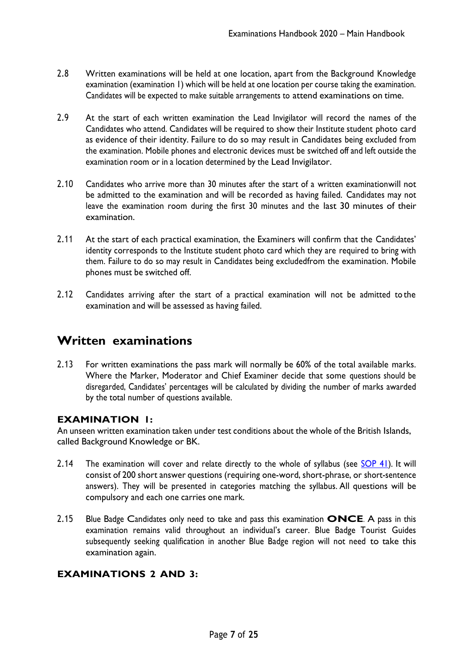- 2.8 Written examinations will be held at one location, apart from the Background Knowledge examination (examination 1) which will be held at one location per course taking the examination. Candidates will be expected to make suitable arrangements to attend examinations on time.
- 2.9 At the start of each written examination the Lead Invigilator will record the names of the Candidates who attend. Candidates will be required to show their Institute student photo card as evidence of their identity. Failure to do so may result in Candidates being excluded from the examination. Mobile phones and electronic devices must be switched off and left outside the examination room or in a location determined by the Lead Invigilator.
- 2.10 Candidates who arrive more than 30 minutes after the start of a written examinationwill not be admitted to the examination and will be recorded as having failed. Candidates may not leave the examination room during the first 30 minutes and the last 30 minutes of their examination.
- 2.11 At the start of each practical examination, the Examiners will confirm that the Candidates' identity corresponds to the Institute student photo card which they are required to bring with them. Failure to do so may result in Candidates being excludedfrom the examination. Mobile phones must be switched off.
- 2.12 Candidates arriving after the start of a practical examination will not be admitted to the examination and will be assessed as having failed.

## <span id="page-6-0"></span>**Written examinations**

2.13 For written examinations the pass mark will normally be 60% of the total available marks. Where the Marker, Moderator and Chief Examiner decide that some questions should be disregarded, Candidates' percentages will be calculated by dividing the number of marks awarded by the total number of questions available.

#### **EXAMINATION 1:**

An unseen written examination taken under test conditions about the whole of the British Islands, called Background Knowledge or BK.

- 2.14 The examination will cover and relate directly to the whole of syllabus (see [SOP](https://www.itg.org.uk/media/2561/eh-2020-sop-41-background-knowledge-syllabus-and-marking-scheme-final.pdf) 41). It will consist of 200 short answer questions (requiring one-word, short-phrase, or short-sentence answers). They will be presented in categories matching the syllabus. All questions will be compulsory and each one carries one mark.
- 2.15 Blue Badge Candidates only need to take and pass this examination **ONCE**. A pass in this examination remains valid throughout an individual's career. Blue Badge Tourist Guides subsequently seeking qualification in another Blue Badge region will not need to take this examination again.

#### **EXAMINATIONS 2 AND 3:**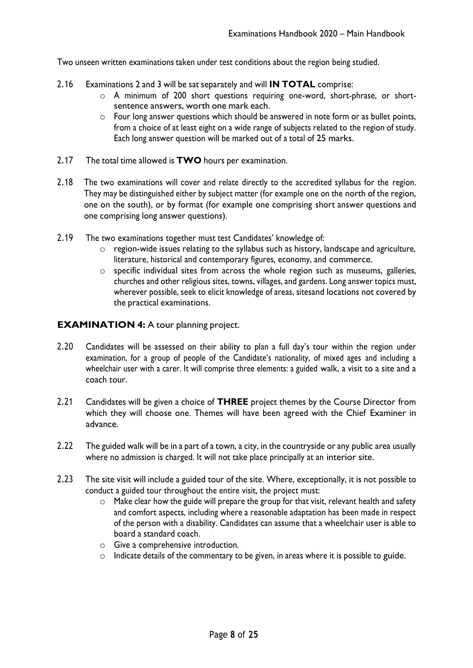Two unseen written examinations taken under test conditions about the region being studied.

- 2.16 Examinations 2 and 3 will be sat separately and will **IN TOTAL** comprise:
	- o A minimum of 200 short questions requiring one-word, short-phrase, or shortsentence answers, worth one mark each.
	- o Four long answer questions which should be answered in note form or as bullet points, from a choice of at least eight on a wide range of subjects related to the region of study. Each long answer question will be marked out of a total of 25 marks.
- 2.17 The total time allowed is **TWO** hours per examination.
- 2.18 The two examinations will cover and relate directly to the accredited syllabus for the region. They may be distinguished either by subject matter (for example one on the north of the region, one on the south), or by format (for example one comprising short answer questions and one comprising long answer questions).
- 2.19 The two examinations together must test Candidates' knowledge of:
	- $\circ$  region-wide issues relating to the syllabus such as history, landscape and agriculture, literature, historical and contemporary figures, economy, and commerce.
	- o specific individual sites from across the whole region such as museums, galleries, churches and other religious sites, towns, villages, and gardens. Long answer topics must, wherever possible, seek to elicit knowledge of areas, sitesand locations not covered by the practical examinations.

#### **EXAMINATION 4:** A tour planning project.

- 2.20 Candidates will be assessed on their ability to plan a full day's tour within the region under examination, for a group of people of the Candidate's nationality, of mixed ages and including a wheelchair user with a carer. It will comprise three elements: a guided walk, a visit to a site and a coach tour.
- 2.21 Candidates will be given a choice of **THREE** project themes by the Course Director from which they will choose one. Themes will have been agreed with the Chief Examiner in advance.
- 2.22 The guided walk will be in a part of a town, a city, in the countryside or any public area usually where no admission is charged. It will not take place principally at an interior site.
- 2.23 The site visit will include a guided tour of the site. Where, exceptionally, it is not possible to conduct a guided tour throughout the entire visit, the project must:
	- o Make clear how the guide will prepare the group for that visit, relevant health and safety and comfort aspects, including where a reasonable adaptation has been made in respect of the person with a disability. Candidates can assume that a wheelchair user is able to board a standard coach.
	- o Give a comprehensive introduction.
	- o Indicate details of the commentary to be given, in areas where it is possible to guide.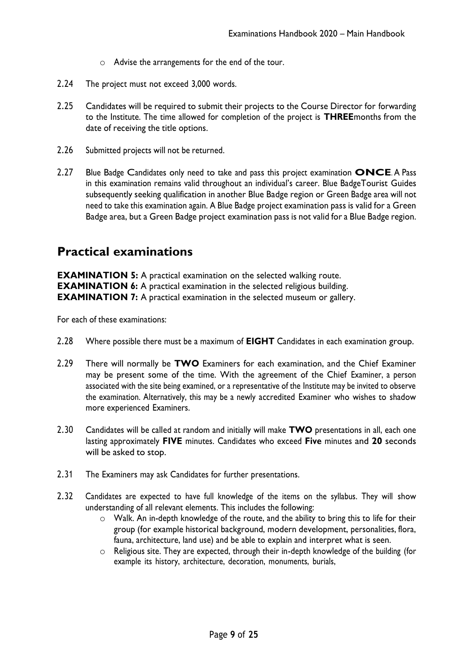- o Advise the arrangements for the end of the tour.
- 2.24 The project must not exceed 3,000 words.
- 2.25 Candidates will be required to submit their projects to the Course Director for forwarding to the Institute. The time allowed for completion of the project is **THREE**months from the date of receiving the title options.
- 2.26 Submitted projects will not be returned.
- 2.27 Blue Badge Candidates only need to take and pass this project examination **ONCE**. A Pass in this examination remains valid throughout an individual's career. Blue BadgeTourist Guides subsequently seeking qualification in another Blue Badge region or Green Badge area will not need to take this examination again. A Blue Badge project examination pass is valid for a Green Badge area, but a Green Badge project examination pass is not valid for a Blue Badge region.

#### <span id="page-8-0"></span>**Practical examinations**

**EXAMINATION 5:** A practical examination on the selected walking route. **EXAMINATION 6:** A practical examination in the selected religious building. **EXAMINATION 7:** A practical examination in the selected museum or gallery.

For each of these examinations:

- 2.28 Where possible there must be a maximum of **EIGHT** Candidates in each examination group.
- 2.29 There will normally be **TWO** Examiners for each examination, and the Chief Examiner may be present some of the time. With the agreement of the Chief Examiner, a person associated with the site being examined, or a representative of the Institute may be invited to observe the examination. Alternatively, this may be a newly accredited Examiner who wishes to shadow more experienced Examiners.
- 2.30 Candidates will be called at random and initially will make **TWO** presentations in all, each one lasting approximately **FIVE** minutes. Candidates who exceed **Five** minutes and **20** seconds will be asked to stop.
- 2.31 The Examiners may ask Candidates for further presentations.
- 2.32 Candidates are expected to have full knowledge of the items on the syllabus. They will show understanding of all relevant elements. This includes the following:
	- o Walk. An in-depth knowledge of the route, and the ability to bring this to life for their group (for example historical background, modern development, personalities, flora, fauna, architecture, land use) and be able to explain and interpret what is seen.
	- o Religious site. They are expected, through their in-depth knowledge of the building (for example its history, architecture, decoration, monuments, burials,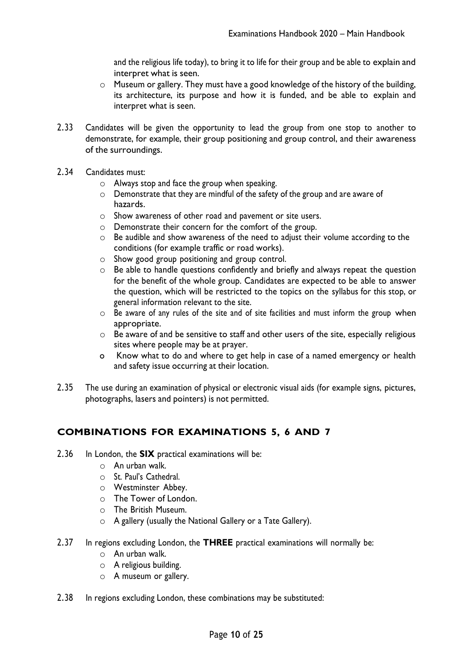and the religious life today), to bring it to life for their group and be able to explain and interpret what is seen.

- o Museum or gallery. They must have a good knowledge of the history of the building, its architecture, its purpose and how it is funded, and be able to explain and interpret what is seen.
- 2.33 Candidates will be given the opportunity to lead the group from one stop to another to demonstrate, for example, their group positioning and group control, and their awareness of the surroundings.
- 2.34 Candidates must:
	- o Always stop and face the group when speaking.
	- o Demonstrate that they are mindful of the safety of the group and are aware of hazards.
	- o Show awareness of other road and pavement or site users.
	- o Demonstrate their concern for the comfort of the group.
	- o Be audible and show awareness of the need to adjust their volume according to the conditions (for example traffic or road works).
	- o Show good group positioning and group control.
	- o Be able to handle questions confidently and briefly and always repeat the question for the benefit of the whole group. Candidates are expected to be able to answer the question, which will be restricted to the topics on the syllabus for this stop, or general information relevant to the site.
	- o Be aware of any rules of the site and of site facilities and must inform the group when appropriate.
	- o Be aware of and be sensitive to staff and other users of the site, especially religious sites where people may be at prayer.
	- o Know what to do and where to get help in case of a named emergency or health and safety issue occurring at their location.
- 2.35 The use during an examination of physical or electronic visual aids (for example signs, pictures, photographs, lasers and pointers) is not permitted.

#### **COMBINATIONS FOR EXAMINATIONS 5, 6 AND 7**

- 2.36 In London, the **SIX** practical examinations will be:
	- o An urban walk.
	- o St. Paul's Cathedral.
	- o Westminster Abbey.
	- o The Tower of London.
	- o The British Museum.
	- o A gallery (usually the National Gallery or a Tate Gallery).
- 2.37 In regions excluding London, the **THREE** practical examinations will normally be:
	- o An urban walk.
	- $\circ$  A religious building.
	- o A museum or gallery.
- 2.38 In regions excluding London, these combinations may be substituted: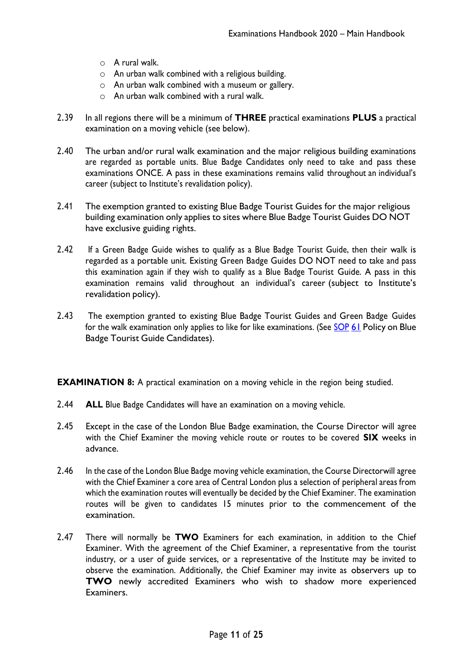- o A rural walk.
- o An urban walk combined with a religious building.
- o An urban walk combined with a museum or gallery.
- $\circ$  An urban walk combined with a rural walk.
- 2.39 In all regions there will be a minimum of **THREE** practical examinations **PLUS** a practical examination on a moving vehicle (see below).
- 2.40 The urban and/or rural walk examination and the major religious building examinations are regarded as portable units. Blue Badge Candidates only need to take and pass these examinations ONCE. A pass in these examinations remains valid throughout an individual's career (subject to Institute's revalidation policy).
- 2.41 The exemption granted to existing Blue Badge Tourist Guides for the major religious building examination only applies to sites where Blue Badge Tourist Guides DO NOT have exclusive guiding rights.
- 2.42 If a Green Badge Guide wishes to qualify as a Blue Badge Tourist Guide, then their walk is regarded as a portable unit. Existing Green Badge Guides DO NOT need to take and pass this examination again if they wish to qualify as a Blue Badge Tourist Guide. A pass in this examination remains valid throughout an individual's career (subject to Institute's revalidation policy).
- 2.43 The exemption granted to existing Blue Badge Tourist Guides and Green Badge Guides for the walk examination only applies to like for like examinations. (See [SOP](https://www.itg.org.uk/media/2762/eh-2020-sop-61-policy-on-blue-badge-tourist-guide-candidates-v20202.pdf) [61](https://www.itg.org.uk/media/2762/eh-2020-sop-61-policy-on-blue-badge-tourist-guide-candidates-v20202.pdf) Policy on Blue Badge Tourist Guide Candidates).

**EXAMINATION 8:** A practical examination on a moving vehicle in the region being studied.

- 2.44 **ALL** Blue Badge Candidates will have an examination on a moving vehicle.
- 2.45 Except in the case of the London Blue Badge examination, the Course Director will agree with the Chief Examiner the moving vehicle route or routes to be covered **SIX** weeks in advance.
- 2.46 In the case of the London Blue Badge moving vehicle examination, the Course Directorwill agree with the Chief Examiner a core area of Central London plus a selection of peripheral areas from which the examination routes will eventually be decided by the Chief Examiner. The examination routes will be given to candidates 15 minutes prior to the commencement of the examination.
- 2.47 There will normally be **TWO** Examiners for each examination, in addition to the Chief Examiner. With the agreement of the Chief Examiner, a representative from the tourist industry, or a user of guide services, or a representative of the Institute may be invited to observe the examination. Additionally, the Chief Examiner may invite as observers up to **TWO** newly accredited Examiners who wish to shadow more experienced Examiners.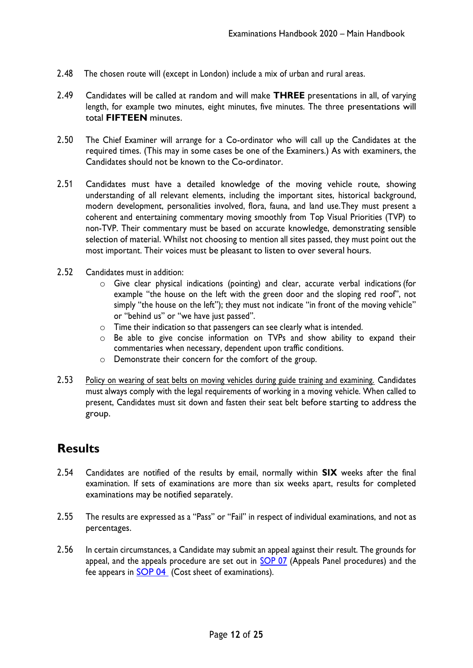- 2.48 The chosen route will (except in London) include a mix of urban and rural areas.
- 2.49 Candidates will be called at random and will make **THREE** presentations in all, of varying length, for example two minutes, eight minutes, five minutes. The three presentations will total **FIFTEEN** minutes.
- 2.50 The Chief Examiner will arrange for a Co-ordinator who will call up the Candidates at the required times. (This may in some cases be one of the Examiners.) As with examiners, the Candidates should not be known to the Co-ordinator.
- 2.51 Candidates must have a detailed knowledge of the moving vehicle route, showing understanding of all relevant elements, including the important sites, historical background, modern development, personalities involved, flora, fauna, and land use.They must present a coherent and entertaining commentary moving smoothly from Top Visual Priorities (TVP) to non-TVP. Their commentary must be based on accurate knowledge, demonstrating sensible selection of material. Whilst not choosing to mention all sites passed, they must point out the most important. Their voices must be pleasant to listen to over several hours.
- 2.52 Candidates must in addition:
	- o Give clear physical indications (pointing) and clear, accurate verbal indications (for example "the house on the left with the green door and the sloping red roof", not simply "the house on the left"); they must not indicate "in front of the moving vehicle" or "behind us" or "we have just passed".
	- o Time their indication so that passengers can see clearly what is intended.
	- o Be able to give concise information on TVPs and show ability to expand their commentaries when necessary, dependent upon traffic conditions.
	- o Demonstrate their concern for the comfort of the group.
- 2.53 Policy on wearing of seat belts on moving vehicles during guide training and examining. Candidates must always comply with the legal requirements of working in a moving vehicle. When called to present, Candidates must sit down and fasten their seat belt before starting to address the group.

### <span id="page-11-0"></span>**Results**

- 2.54 Candidates are notified of the results by email, normally within **SIX** weeks after the final examination. If sets of examinations are more than six weeks apart, results for completed examinations may be notified separately.
- 2.55 The results are expressed as a "Pass" or "Fail" in respect of individual examinations, and not as percentages.
- 2.56 In certain circumstances, a Candidate may submit an appeal against their result. The grounds for appeal, and the appeals procedure are set out in [SOP 07](https://www.itg.org.uk/media/2541/eh-2020-sop-07-appeals-panel-procedures.pdf) (Appeals Panel procedures) and the fee appears in [SOP 04](https://www.itg.org.uk/media/2787/examination-fees-2022-2023.pdf) (Cost sheet of examinations).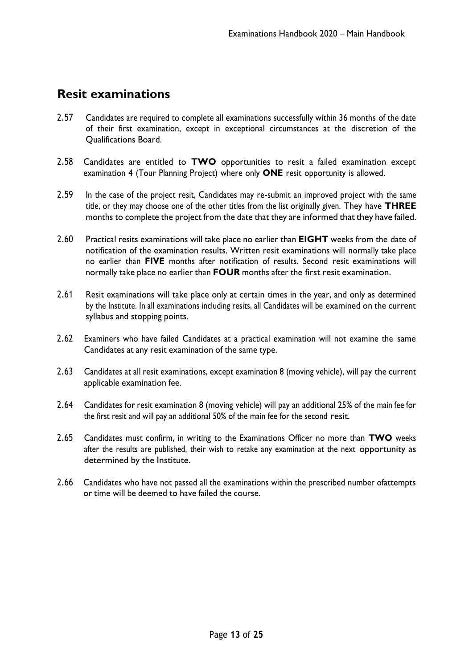### <span id="page-12-0"></span>**Resit examinations**

- 2.57 Candidates are required to complete all examinations successfully within 36 months of the date of their first examination, except in exceptional circumstances at the discretion of the Qualifications Board.
- 2.58 Candidates are entitled to **TWO** opportunities to resit a failed examination except examination 4 (Tour Planning Project) where only **ONE** resit opportunity is allowed.
- 2.59 In the case of the project resit, Candidates may re-submit an improved project with the same title, or they may choose one of the other titles from the list originally given. They have **THREE**  months to complete the project from the date that they are informed that they have failed.
- 2.60 Practical resits examinations will take place no earlier than **EIGHT** weeks from the date of notification of the examination results. Written resit examinations will normally take place no earlier than **FIVE** months after notification of results. Second resit examinations will normally take place no earlier than **FOUR** months after the first resit examination.
- 2.61 Resit examinations will take place only at certain times in the year, and only as determined by the Institute. In all examinations including resits, all Candidates will be examined on the current syllabus and stopping points.
- 2.62 Examiners who have failed Candidates at a practical examination will not examine the same Candidates at any resit examination of the same type.
- 2.63 Candidates at all resit examinations, except examination 8 (moving vehicle), will pay the current applicable examination fee.
- 2.64 Candidates for resit examination 8 (moving vehicle) will pay an additional 25% of the main fee for the first resit and will pay an additional 50% of the main fee for the second resit.
- 2.65 Candidates must confirm, in writing to the Examinations Officer no more than **TWO** weeks after the results are published, their wish to retake any examination at the next opportunity as determined by the Institute.
- 2.66 Candidates who have not passed all the examinations within the prescribed number ofattempts or time will be deemed to have failed the course.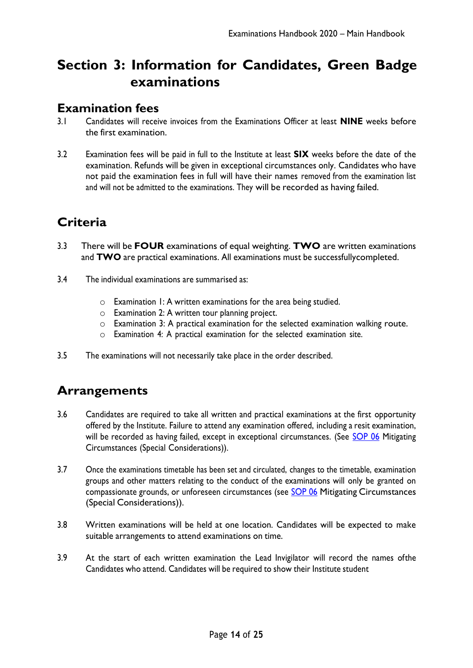# <span id="page-13-0"></span>**Section 3: Information for Candidates, Green Badge examinations**

#### <span id="page-13-1"></span>**Examination fees**

- 3.1 Candidates will receive invoices from the Examinations Officer at least **NINE** weeks before the first examination.
- 3.2 Examination fees will be paid in full to the Institute at least **SIX** weeks before the date of the examination. Refunds will be given in exceptional circumstances only. Candidates who have not paid the examination fees in full will have their names removed from the examination list and will not be admitted to the examinations. They will be recorded as having failed.

# <span id="page-13-2"></span>**Criteria**

- 3.3 There will be **FOUR** examinations of equal weighting. **TWO** are written examinations and **TWO** are practical examinations. All examinations must be successfullycompleted.
- 3.4 The individual examinations are summarised as:
	- o Examination 1: A written examinations for the area being studied.
	- o Examination 2: A written tour planning project.
	- o Examination 3: A practical examination for the selected examination walking route.
	- o Examination 4: A practical examination for the selected examination site.
- 3.5 The examinations will not necessarily take place in the order described.

## <span id="page-13-3"></span>**Arrangements**

- 3.6 Candidates are required to take all written and practical examinations at the first opportunity offered by the Institute. Failure to attend any examination offered, including a resit examination, will be recorded as having failed, except in exceptional circumstances. (See [SOP](https://www.itg.org.uk/media/2759/eh-2020-sop-06-mitigating-circumstances_special-considerations-v20203.pdf) 06 Mitigating Circumstances (Special Considerations)).
- 3.7 Once the examinations timetable has been set and circulated, changes to the timetable, examination groups and other matters relating to the conduct of the examinations will only be granted on compassionate grounds, or unforeseen circumstances (see [SOP 06](https://www.itg.org.uk/media/2759/eh-2020-sop-06-mitigating-circumstances_special-considerations-v20203.pdf) Mitigating Circumstances (Special Considerations)).
- 3.8 Written examinations will be held at one location. Candidates will be expected to make suitable arrangements to attend examinations on time.
- 3.9 At the start of each written examination the Lead Invigilator will record the names ofthe Candidates who attend. Candidates will be required to show their Institute student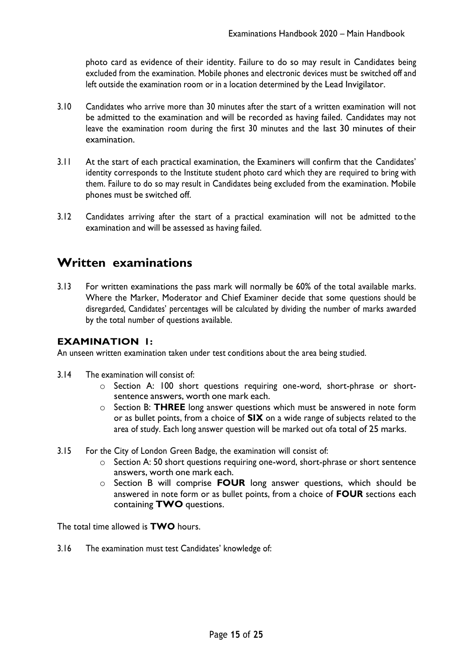photo card as evidence of their identity. Failure to do so may result in Candidates being excluded from the examination. Mobile phones and electronic devices must be switched off and left outside the examination room or in a location determined by the Lead Invigilator.

- 3.10 Candidates who arrive more than 30 minutes after the start of a written examination will not be admitted to the examination and will be recorded as having failed. Candidates may not leave the examination room during the first 30 minutes and the last 30 minutes of their examination.
- 3.11 At the start of each practical examination, the Examiners will confirm that the Candidates' identity corresponds to the Institute student photo card which they are required to bring with them. Failure to do so may result in Candidates being excluded from the examination. Mobile phones must be switched off.
- 3.12 Candidates arriving after the start of a practical examination will not be admitted to the examination and will be assessed as having failed.

#### <span id="page-14-0"></span>**Written examinations**

3.13 For written examinations the pass mark will normally be 60% of the total available marks. Where the Marker, Moderator and Chief Examiner decide that some questions should be disregarded, Candidates' percentages will be calculated by dividing the number of marks awarded by the total number of questions available.

#### **EXAMINATION 1:**

An unseen written examination taken under test conditions about the area being studied.

- 3.14 The examination will consist of:
	- o Section A: 100 short questions requiring one-word, short-phrase or shortsentence answers, worth one mark each.
	- o Section B: **THREE** long answer questions which must be answered in note form or as bullet points, from a choice of **SIX** on a wide range of subjects related to the area of study. Each long answer question will be marked out ofa total of 25 marks.
- 3.15 For the City of London Green Badge, the examination will consist of:
	- o Section A: 50 short questions requiring one-word, short-phrase or short sentence answers, worth one mark each.
	- o Section B will comprise **FOUR** long answer questions, which should be answered in note form or as bullet points, from a choice of **FOUR** sections each containing **TWO** questions.

The total time allowed is **TWO** hours.

3.16 The examination must test Candidates' knowledge of: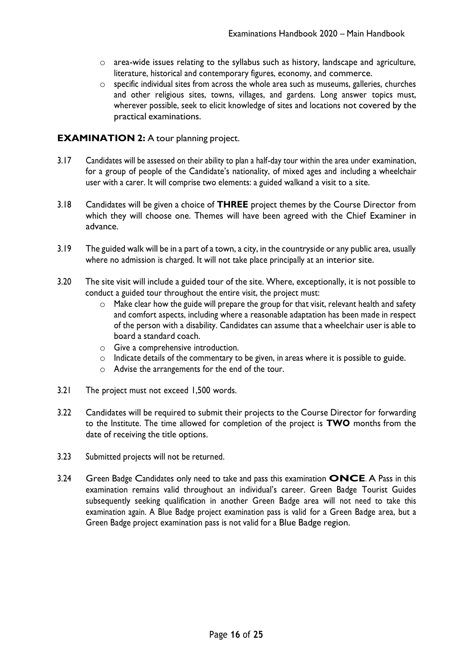- o area-wide issues relating to the syllabus such as history, landscape and agriculture, literature, historical and contemporary figures, economy, and commerce.
- o specific individual sites from across the whole area such as museums, galleries, churches and other religious sites, towns, villages, and gardens. Long answer topics must, wherever possible, seek to elicit knowledge of sites and locations not covered by the practical examinations.

#### **EXAMINATION 2:** A tour planning project.

- 3.17 Candidates will be assessed on their ability to plan a half-day tour within the area under examination, for a group of people of the Candidate's nationality, of mixed ages and including a wheelchair user with a carer. It will comprise two elements: a guided walkand a visit to a site.
- 3.18 Candidates will be given a choice of **THREE** project themes by the Course Director from which they will choose one. Themes will have been agreed with the Chief Examiner in advance.
- 3.19 The guided walk will be in a part of a town, a city, in the countryside or any public area, usually where no admission is charged. It will not take place principally at an interior site.
- 3.20 The site visit will include a guided tour of the site. Where, exceptionally, it is not possible to conduct a guided tour throughout the entire visit, the project must:
	- o Make clear how the guide will prepare the group for that visit, relevant health and safety and comfort aspects, including where a reasonable adaptation has been made in respect of the person with a disability. Candidates can assume that a wheelchair user is able to board a standard coach.
	- o Give a comprehensive introduction.
	- o Indicate details of the commentary to be given, in areas where it is possible to guide.
	- o Advise the arrangements for the end of the tour.
- 3.21 The project must not exceed 1,500 words.
- 3.22 Candidates will be required to submit their projects to the Course Director for forwarding to the Institute. The time allowed for completion of the project is **TWO** months from the date of receiving the title options.
- 3.23 Submitted projects will not be returned.
- 3.24 Green Badge Candidates only need to take and pass this examination **ONCE**. A Pass in this examination remains valid throughout an individual's career. Green Badge Tourist Guides subsequently seeking qualification in another Green Badge area will not need to take this examination again. A Blue Badge project examination pass is valid for a Green Badge area, but a Green Badge project examination pass is not valid for a Blue Badge region.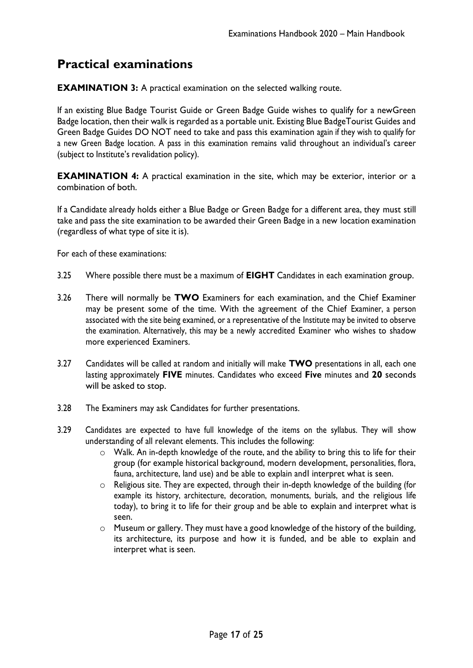## <span id="page-16-0"></span>**Practical examinations**

**EXAMINATION 3:** A practical examination on the selected walking route.

If an existing Blue Badge Tourist Guide or Green Badge Guide wishes to qualify for a newGreen Badge location, then their walk is regarded as a portable unit. Existing Blue BadgeTourist Guides and Green Badge Guides DO NOT need to take and pass this examination again if they wish to qualify for a new Green Badge location. A pass in this examination remains valid throughout an individual's career (subject to Institute's revalidation policy).

**EXAMINATION 4:** A practical examination in the site, which may be exterior, interior or a combination of both.

If a Candidate already holds either a Blue Badge or Green Badge for a different area, they must still take and pass the site examination to be awarded their Green Badge in a new location examination (regardless of what type of site it is).

For each of these examinations:

- 3.25 Where possible there must be a maximum of **EIGHT** Candidates in each examination group.
- 3.26 There will normally be **TWO** Examiners for each examination, and the Chief Examiner may be present some of the time. With the agreement of the Chief Examiner, a person associated with the site being examined, or a representative of the Institute may be invited to observe the examination. Alternatively, this may be a newly accredited Examiner who wishes to shadow more experienced Examiners.
- 3.27 Candidates will be called at random and initially will make **TWO** presentations in all, each one lasting approximately **FIVE** minutes. Candidates who exceed **Five** minutes and **20** seconds will be asked to stop.
- 3.28 The Examiners may ask Candidates for further presentations.
- 3.29 Candidates are expected to have full knowledge of the items on the syllabus. They will show understanding of all relevant elements. This includes the following:
	- o Walk. An in-depth knowledge of the route, and the ability to bring this to life for their group (for example historical background, modern development, personalities, flora, fauna, architecture, land use) and be able to explain andI interpret what is seen.
	- o Religious site. They are expected, through their in-depth knowledge of the building (for example its history, architecture, decoration, monuments, burials, and the religious life today), to bring it to life for their group and be able to explain and interpret what is seen.
	- o Museum or gallery. They must have a good knowledge of the history of the building, its architecture, its purpose and how it is funded, and be able to explain and interpret what is seen.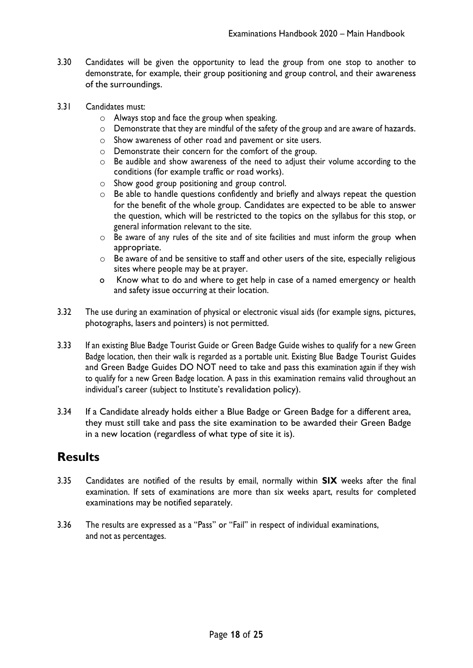- 3.30 Candidates will be given the opportunity to lead the group from one stop to another to demonstrate, for example, their group positioning and group control, and their awareness of the surroundings.
- 3.31 Candidates must:
	- o Always stop and face the group when speaking.
	- o Demonstrate that they are mindful of the safety of the group and are aware of hazards.
	- o Show awareness of other road and pavement or site users.
	- o Demonstrate their concern for the comfort of the group.
	- o Be audible and show awareness of the need to adjust their volume according to the conditions (for example traffic or road works).
	- o Show good group positioning and group control.
	- o Be able to handle questions confidently and briefly and always repeat the question for the benefit of the whole group. Candidates are expected to be able to answer the question, which will be restricted to the topics on the syllabus for this stop, or general information relevant to the site.
	- o Be aware of any rules of the site and of site facilities and must inform the group when appropriate.
	- $\circ$  Be aware of and be sensitive to staff and other users of the site, especially religious sites where people may be at prayer.
	- o Know what to do and where to get help in case of a named emergency or health and safety issue occurring at their location.
- 3.32 The use during an examination of physical or electronic visual aids (for example signs, pictures, photographs, lasers and pointers) is not permitted.
- 3.33 If an existing Blue Badge Tourist Guide or Green Badge Guide wishes to qualify for a new Green Badge location, then their walk is regarded as a portable unit. Existing Blue Badge Tourist Guides and Green Badge Guides DO NOT need to take and pass this examination again if they wish to qualify for a new Green Badge location. A pass in this examination remains valid throughout an individual's career (subject to Institute's revalidation policy).
- 3.34 If a Candidate already holds either a Blue Badge or Green Badge for a different area, they must still take and pass the site examination to be awarded their Green Badge in a new location (regardless of what type of site it is).

#### <span id="page-17-0"></span>**Results**

- 3.35 Candidates are notified of the results by email, normally within **SIX** weeks after the final examination. If sets of examinations are more than six weeks apart, results for completed examinations may be notified separately.
- 3.36 The results are expressed as a "Pass" or "Fail" in respect of individual examinations, and not as percentages.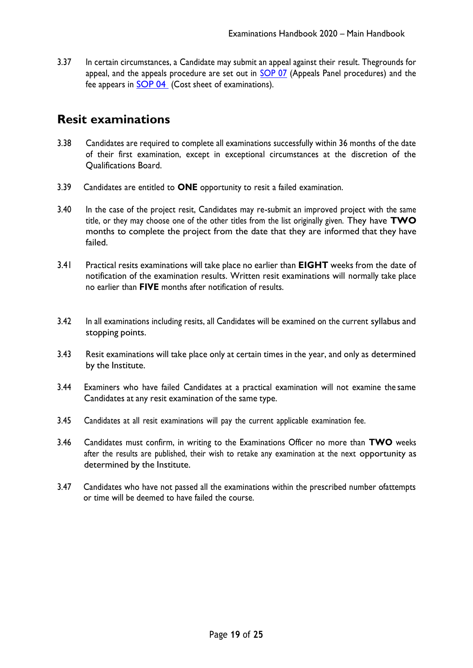3.37 In certain circumstances, a Candidate may submit an appeal against their result. Thegrounds for appeal, and the appeals procedure are set out in [SOP 07](https://www.itg.org.uk/media/2541/eh-2020-sop-07-appeals-panel-procedures.pdf) (Appeals Panel procedures) and the fee appears in [SOP 04](https://www.itg.org.uk/media/2787/examination-fees-2022-2023.pdf) (Cost sheet of examinations).

#### <span id="page-18-0"></span>**Resit examinations**

- 3.38 Candidates are required to complete all examinations successfully within 36 months of the date of their first examination, except in exceptional circumstances at the discretion of the Qualifications Board.
- 3.39 Candidates are entitled to **ONE** opportunity to resit a failed examination.
- 3.40 In the case of the project resit, Candidates may re-submit an improved project with the same title, or they may choose one of the other titles from the list originally given. They have **TWO**  months to complete the project from the date that they are informed that they have failed.
- 3.41 Practical resits examinations will take place no earlier than **EIGHT** weeks from the date of notification of the examination results. Written resit examinations will normally take place no earlier than **FIVE** months after notification of results.
- 3.42 In all examinations including resits, all Candidates will be examined on the current syllabus and stopping points.
- 3.43 Resit examinations will take place only at certain times in the year, and only as determined by the Institute.
- 3.44 Examiners who have failed Candidates at a practical examination will not examine the same Candidates at any resit examination of the same type.
- 3.45 Candidates at all resit examinations will pay the current applicable examination fee.
- 3.46 Candidates must confirm, in writing to the Examinations Officer no more than **TWO** weeks after the results are published, their wish to retake any examination at the next opportunity as determined by the Institute.
- 3.47 Candidates who have not passed all the examinations within the prescribed number ofattempts or time will be deemed to have failed the course.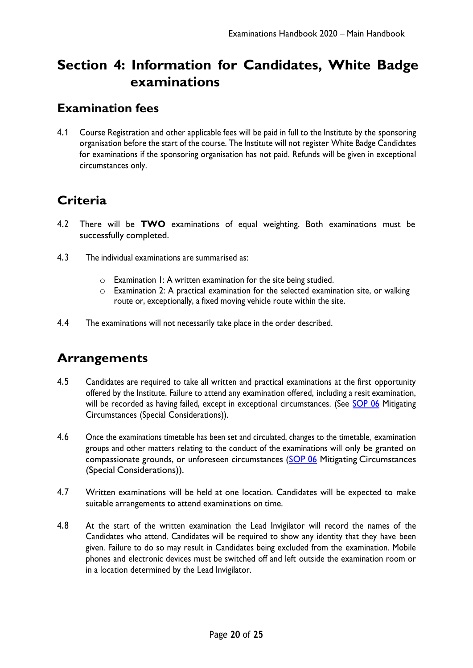# <span id="page-19-0"></span>**Section 4: Information for Candidates, White Badge examinations**

#### <span id="page-19-1"></span>**Examination fees**

4.1 Course Registration and other applicable fees will be paid in full to the Institute by the sponsoring organisation before the start of the course. The Institute will not register White Badge Candidates for examinations if the sponsoring organisation has not paid. Refunds will be given in exceptional circumstances only.

# <span id="page-19-2"></span>**Criteria**

- 4.2 There will be **TWO** examinations of equal weighting. Both examinations must be successfully completed.
- 4.3 The individual examinations are summarised as:
	- $\circ$  Examination 1: A written examination for the site being studied.
	- o Examination 2: A practical examination for the selected examination site, or walking route or, exceptionally, a fixed moving vehicle route within the site.
- 4.4 The examinations will not necessarily take place in the order described.

## <span id="page-19-3"></span>**Arrangements**

- 4.5 Candidates are required to take all written and practical examinations at the first opportunity offered by the Institute. Failure to attend any examination offered, including a resit examination, will be recorded as having failed, except in exceptional circumstances. (See [SOP 06](https://www.itg.org.uk/media/2759/eh-2020-sop-06-mitigating-circumstances_special-considerations-v20203.pdf) Mitigating Circumstances (Special Considerations)).
- 4.6 Once the examinations timetable has been set and circulated, changes to the timetable, examination groups and other matters relating to the conduct of the examinations will only be granted on compassionate grounds, or unforeseen circumstances [\(SOP 06](https://www.itg.org.uk/media/2759/eh-2020-sop-06-mitigating-circumstances_special-considerations-v20203.pdf) Mitigating Circumstances (Special Considerations)).
- 4.7 Written examinations will be held at one location. Candidates will be expected to make suitable arrangements to attend examinations on time.
- 4.8 At the start of the written examination the Lead Invigilator will record the names of the Candidates who attend. Candidates will be required to show any identity that they have been given. Failure to do so may result in Candidates being excluded from the examination. Mobile phones and electronic devices must be switched off and left outside the examination room or in a location determined by the Lead Invigilator.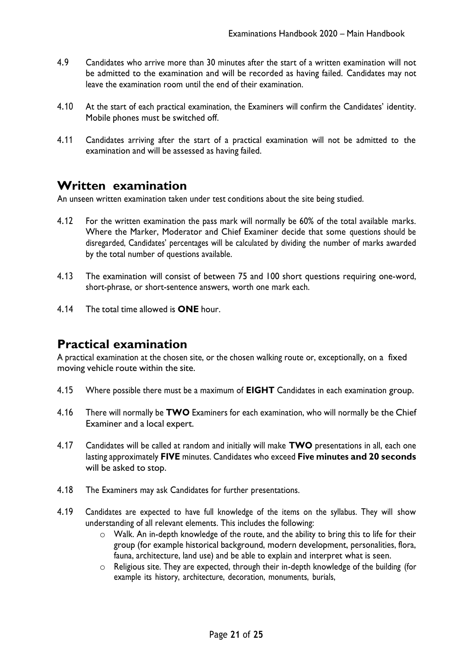- 4.9 Candidates who arrive more than 30 minutes after the start of a written examination will not be admitted to the examination and will be recorded as having failed. Candidates may not leave the examination room until the end of their examination.
- 4.10 At the start of each practical examination, the Examiners will confirm the Candidates' identity. Mobile phones must be switched off.
- 4.11 Candidates arriving after the start of a practical examination will not be admitted to the examination and will be assessed as having failed.

#### <span id="page-20-0"></span>**Written examination**

An unseen written examination taken under test conditions about the site being studied.

- 4.12 For the written examination the pass mark will normally be 60% of the total available marks. Where the Marker, Moderator and Chief Examiner decide that some questions should be disregarded, Candidates' percentages will be calculated by dividing the number of marks awarded by the total number of questions available.
- 4.13 The examination will consist of between 75 and 100 short questions requiring one-word, short-phrase, or short-sentence answers, worth one mark each.
- 4.14 The total time allowed is **ONE** hour.

#### <span id="page-20-1"></span>**Practical examination**

A practical examination at the chosen site, or the chosen walking route or, exceptionally, on a fixed moving vehicle route within the site.

- 4.15 Where possible there must be a maximum of **EIGHT** Candidates in each examination group.
- 4.16 There will normally be **TWO** Examiners for each examination, who will normally be the Chief Examiner and a local expert.
- 4.17 Candidates will be called at random and initially will make **TWO** presentations in all, each one lasting approximately **FIVE** minutes. Candidates who exceed **Five minutes and 20 seconds** will be asked to stop.
- 4.18 The Examiners may ask Candidates for further presentations.
- 4.19 Candidates are expected to have full knowledge of the items on the syllabus. They will show understanding of all relevant elements. This includes the following:
	- o Walk. An in-depth knowledge of the route, and the ability to bring this to life for their group (for example historical background, modern development, personalities, flora, fauna, architecture, land use) and be able to explain and interpret what is seen.
	- o Religious site. They are expected, through their in-depth knowledge of the building (for example its history, architecture, decoration, monuments, burials,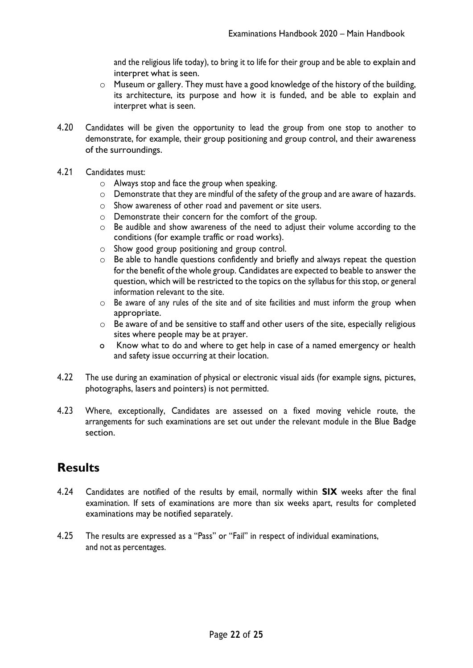and the religious life today), to bring it to life for their group and be able to explain and interpret what is seen.

- o Museum or gallery. They must have a good knowledge of the history of the building, its architecture, its purpose and how it is funded, and be able to explain and interpret what is seen.
- 4.20 Candidates will be given the opportunity to lead the group from one stop to another to demonstrate, for example, their group positioning and group control, and their awareness of the surroundings.
- 4.21 Candidates must:
	- o Always stop and face the group when speaking.
	- o Demonstrate that they are mindful of the safety of the group and are aware of hazards.
	- o Show awareness of other road and pavement or site users.
	- o Demonstrate their concern for the comfort of the group.
	- o Be audible and show awareness of the need to adjust their volume according to the conditions (for example traffic or road works).
	- o Show good group positioning and group control.
	- o Be able to handle questions confidently and briefly and always repeat the question for the benefit of the whole group. Candidates are expected to beable to answer the question, which will be restricted to the topics on the syllabus for this stop, or general information relevant to the site.
	- o Be aware of any rules of the site and of site facilities and must inform the group when appropriate.
	- o Be aware of and be sensitive to staff and other users of the site, especially religious sites where people may be at prayer.
	- o Know what to do and where to get help in case of a named emergency or health and safety issue occurring at their location.
- 4.22 The use during an examination of physical or electronic visual aids (for example signs, pictures, photographs, lasers and pointers) is not permitted.
- 4.23 Where, exceptionally, Candidates are assessed on a fixed moving vehicle route, the arrangements for such examinations are set out under the relevant module in the Blue Badge section.

## <span id="page-21-0"></span>**Results**

- 4.24 Candidates are notified of the results by email, normally within **SIX** weeks after the final examination. If sets of examinations are more than six weeks apart, results for completed examinations may be notified separately.
- 4.25 The results are expressed as a "Pass" or "Fail" in respect of individual examinations, and not as percentages.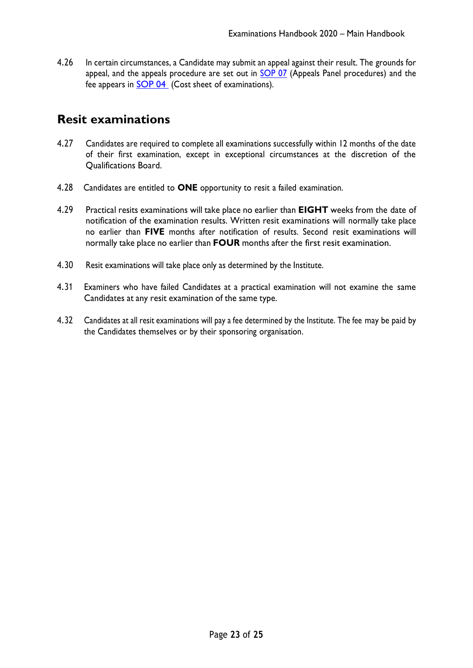4.26 In certain circumstances, a Candidate may submit an appeal against their result. The grounds for appeal, and the appeals procedure are set out in [SOP 07](https://www.itg.org.uk/media/2541/eh-2020-sop-07-appeals-panel-procedures.pdf) (Appeals Panel procedures) and the fee appears in **SOP 04** (Cost sheet of examinations).

### <span id="page-22-0"></span>**Resit examinations**

- 4.27 Candidates are required to complete all examinations successfully within 12 months of the date of their first examination, except in exceptional circumstances at the discretion of the Qualifications Board.
- 4.28 Candidates are entitled to **ONE** opportunity to resit a failed examination.
- 4.29 Practical resits examinations will take place no earlier than **EIGHT** weeks from the date of notification of the examination results. Written resit examinations will normally take place no earlier than **FIVE** months after notification of results. Second resit examinations will normally take place no earlier than **FOUR** months after the first resit examination.
- 4.30 Resit examinations will take place only as determined by the Institute.
- 4.31 Examiners who have failed Candidates at a practical examination will not examine the same Candidates at any resit examination of the same type.
- 4.32 Candidates at all resit examinations will pay a fee determined by the Institute. The fee may be paid by the Candidates themselves or by their sponsoring organisation.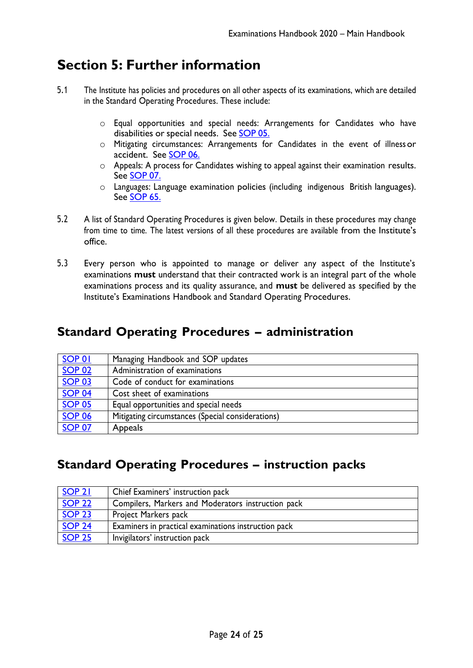# <span id="page-23-0"></span>**Section 5: Further information**

- 5.1 The Institute has policies and procedures on all other aspects of its examinations, which are detailed in the Standard Operating Procedures. These include:
	- o Equal opportunities and special needs: Arrangements for Candidates who have disabilities or special needs. See **[SOP](https://www.itg.org.uk/media/2559/eh-2020-sop-05-equal-opportunities-and-special-needs-final.pdf) 05.**
	- o Mitigating circumstances: Arrangements for Candidates in the event of illness or accident. See [SOP](https://www.itg.org.uk/media/2759/eh-2020-sop-06-mitigating-circumstances_special-considerations-v20203.pdf) 06.
	- o Appeals: A process for Candidates wishing to appeal against their examination results. See [SOP](https://www.itg.org.uk/media/2541/eh-2020-sop-07-appeals-panel-procedures.pdf) 07.
	- $\circ$  Languages: Language examination policies (including indigenous British languages). See [SOP](https://www.itg.org.uk/media/2534/eh-2020-sop-65-language-examination-policies-final.pdf) 65.
- 5.2 A list of Standard Operating Procedures is given below. Details in these procedures may change from time to time. The latest versions of all these procedures are available from the Institute's office.
- 5.3 Every person who is appointed to manage or deliver any aspect of the Institute's examinations **must** understand that their contracted work is an integral part of the whole examinations process and its quality assurance, and **must** be delivered as specified by the Institute's Examinations Handbook and Standard Operating Procedures.

### <span id="page-23-1"></span>**Standard Operating Procedures – administration**

| SOP 01        | Managing Handbook and SOP updates                 |
|---------------|---------------------------------------------------|
| <b>SOP 02</b> | Administration of examinations                    |
| <b>SOP 03</b> | Code of conduct for examinations                  |
| <b>SOP 04</b> | Cost sheet of examinations                        |
| <b>SOP 05</b> | Equal opportunities and special needs             |
| <b>SOP 06</b> | Mitigating circumstances (Special considerations) |
| <b>SOP 07</b> | Appeals                                           |

### <span id="page-23-2"></span>**Standard Operating Procedures – instruction packs**

| SOP <sub>21</sub> | Chief Examiners' instruction pack                    |
|-------------------|------------------------------------------------------|
| <b>SOP 22</b>     | Compilers, Markers and Moderators instruction pack   |
| <b>SOP 23</b>     | Project Markers pack                                 |
| <b>SOP 24</b>     | Examiners in practical examinations instruction pack |
| <b>SOP 25</b>     | Invigilators' instruction pack                       |